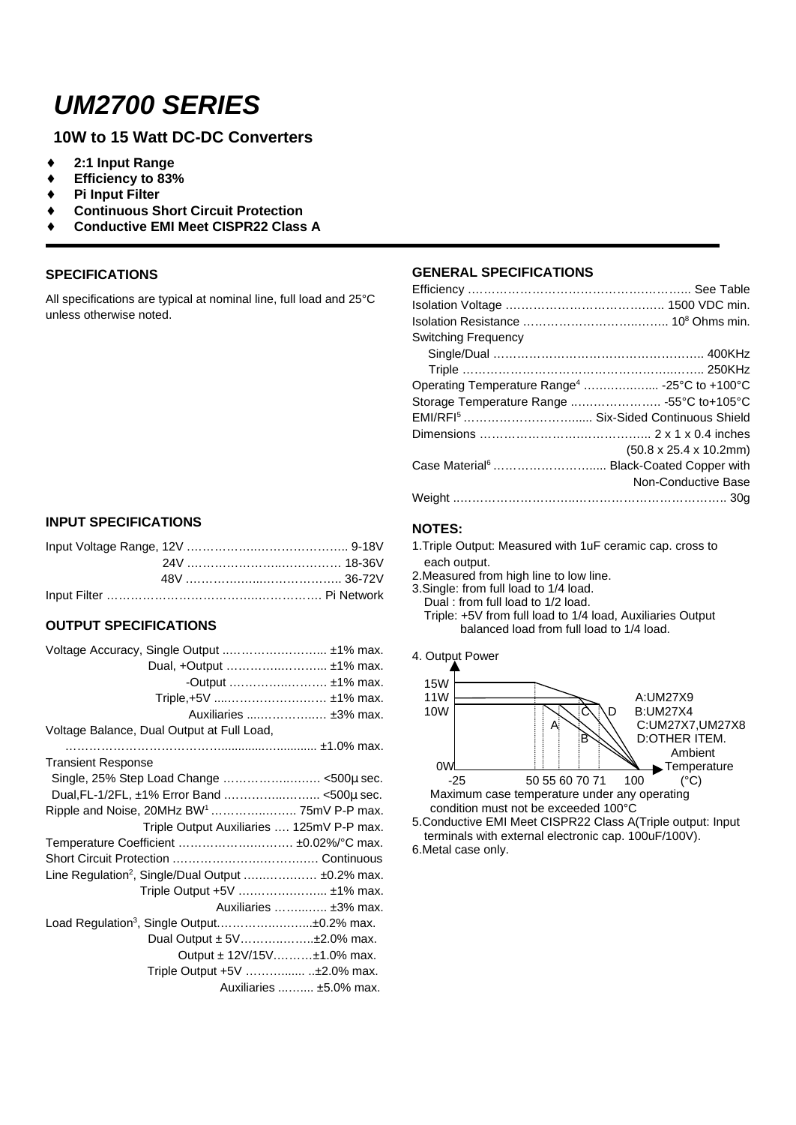# *UM2700 SERIES*

## **10W to 15 Watt DC-DC Converters**

- ♦ **2:1 Input Range**
- ♦ **Efficiency to 83%**
- **Pi Input Filter**
- **Continuous Short Circuit Protection**
- ♦ **Conductive EMI Meet CISPR22 Class A**

#### **SPECIFICATIONS**

All specifications are typical at nominal line, full load and 25°C unless otherwise noted.

#### **INPUT SPECIFICATIONS**

#### **OUTPUT SPECIFICATIONS**

| Dual, +Output  ±1% max.                                            |                         |
|--------------------------------------------------------------------|-------------------------|
|                                                                    | -Output  ±1% max.       |
| Triple,+5V  ±1% max.                                               |                         |
|                                                                    | Auxiliaries  ±3% max.   |
| Voltage Balance, Dual Output at Full Load,                         |                         |
|                                                                    |                         |
| <b>Transient Response</b>                                          |                         |
| Single, 25% Step Load Change <500µ sec.                            |                         |
|                                                                    |                         |
| Ripple and Noise, 20MHz BW <sup>1</sup> 75mV P-P max.              |                         |
| Triple Output Auxiliaries  125mV P-P max.                          |                         |
| Temperature Coefficient  ±0.02%/°C max.                            |                         |
|                                                                    |                         |
| Line Regulation <sup>2</sup> , Single/Dual Output $\pm 0.2\%$ max. |                         |
| Triple Output +5V  ±1% max.                                        |                         |
|                                                                    | Auxiliaries  ±3% max.   |
| Load Regulation <sup>3</sup> , Single Output±0.2% max.             |                         |
| Dual Output ± 5V±2.0% max.                                         |                         |
| Output $\pm$ 12V/15V $\pm$ 1.0% max.                               |                         |
| Triple Output +5V  ±2.0% max.                                      |                         |
|                                                                    | Auxiliaries  ±5.0% max. |

### **GENERAL SPECIFICATIONS**

| <b>Switching Frequency</b>                               |                                     |
|----------------------------------------------------------|-------------------------------------|
|                                                          |                                     |
|                                                          |                                     |
| Operating Temperature Range <sup>4</sup> -25°C to +100°C |                                     |
| Storage Temperature Range  -55°C to+105°C                |                                     |
| EMI/RFI <sup>5</sup> Six-Sided Continuous Shield         |                                     |
|                                                          |                                     |
|                                                          | $(50.8 \times 25.4 \times 10.2$ mm) |
| Case Material <sup>6</sup> Black-Coated Copper with      |                                     |
|                                                          | Non-Conductive Base                 |
|                                                          |                                     |

#### **NOTES:**

- 1.Triple Output: Measured with 1uF ceramic cap. cross to each output.
- 2.Measured from high line to low line.
- 3.Single: from full load to 1/4 load. Dual : from full load to 1/2 load. Triple: +5V from full load to 1/4 load, Auxiliaries Output balanced load from full load to 1/4 load.





5.Conductive EMI Meet CISPR22 Class A(Triple output: Input terminals with external electronic cap. 100uF/100V). 6.Metal case only.

111111111111